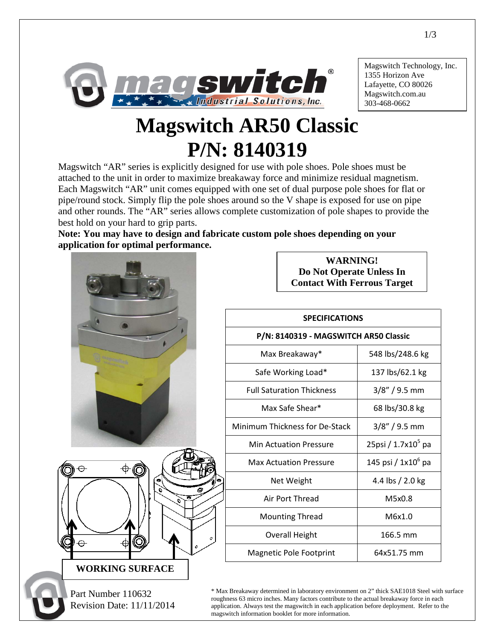

Magswitch Technology, Inc. 1355 Horizon Ave Lafayette, CO 80026 Magswitch.com.au 303-468-0662

## **Magswitch AR50 Classic P/N: 8140319**

Magswitch "AR" series is explicitly designed for use with pole shoes. Pole shoes must be attached to the unit in order to maximize breakaway force and minimize residual magnetism. Each Magswitch "AR" unit comes equipped with one set of dual purpose pole shoes for flat or pipe/round stock. Simply flip the pole shoes around so the V shape is exposed for use on pipe and other rounds. The "AR" series allows complete customization of pole shapes to provide the best hold on your hard to grip parts.

**Note: You may have to design and fabricate custom pole shoes depending on your application for optimal performance.**



**WARNING! Do Not Operate Unless In Contact With Ferrous Target**

## **SPECIFICATIONS**

## **P/N: 8140319 - MAGSWITCH AR50 Classic**

| Max Breakaway*                   | 548 lbs/248.6 kg               |
|----------------------------------|--------------------------------|
| Safe Working Load*               | 137 lbs/62.1 kg                |
| <b>Full Saturation Thickness</b> | $3/8''/9.5$ mm                 |
| Max Safe Shear*                  | 68 lbs/30.8 kg                 |
| Minimum Thickness for De-Stack   | $3/8'' / 9.5$ mm               |
| <b>Min Actuation Pressure</b>    | 25psi / 1.7x10 <sup>5</sup> pa |
| <b>Max Actuation Pressure</b>    | 145 psi / 1x10 <sup>6</sup> pa |
| Net Weight                       | 4.4 lbs / 2.0 kg               |
| Air Port Thread                  | M5x0.8                         |
| <b>Mounting Thread</b>           | M6x1.0                         |
| Overall Height                   | 166.5 mm                       |
| <b>Magnetic Pole Footprint</b>   | 64x51.75 mm                    |

\* Max Breakaway determined in laboratory environment on 2" thick SAE1018 Steel with surface roughness 63 micro inches. Many factors contribute to the actual breakaway force in each application. Always test the magswitch in each application before deployment. Refer to the magswitch information booklet for more information.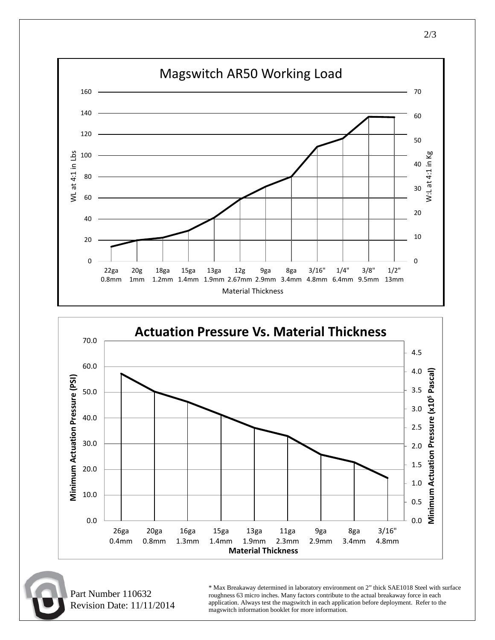



 Part Number 110632 Revision Date: 11/11/2014 \* Max Breakaway determined in laboratory environment on 2" thick SAE1018 Steel with surface roughness 63 micro inches. Many factors contribute to the actual breakaway force in each application. Always test the magswitch in each application before deployment. Refer to the magswitch information booklet for more information.